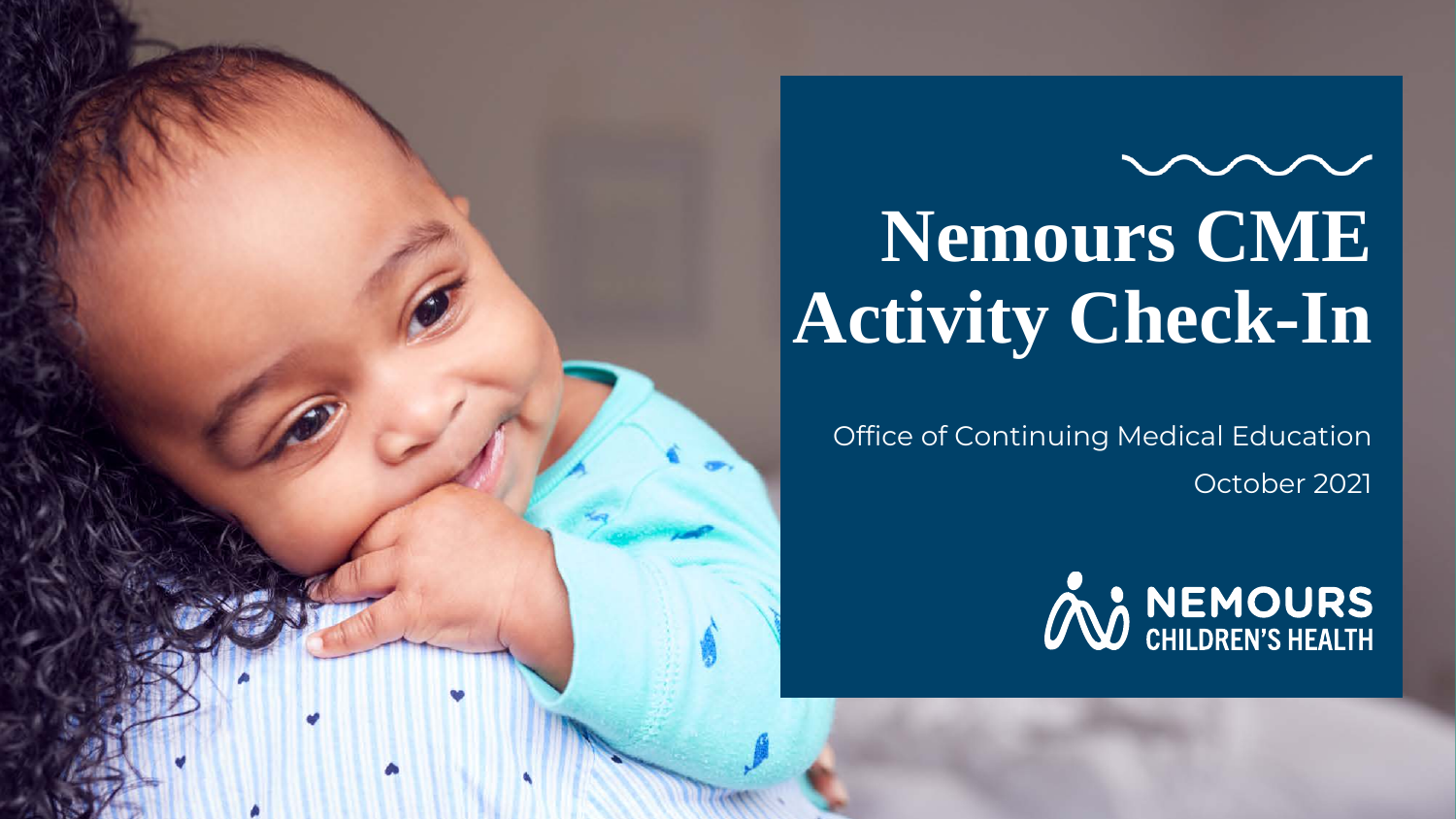**Nemours CME Activity Check-In**

Office of Continuing Medical Education October 2021

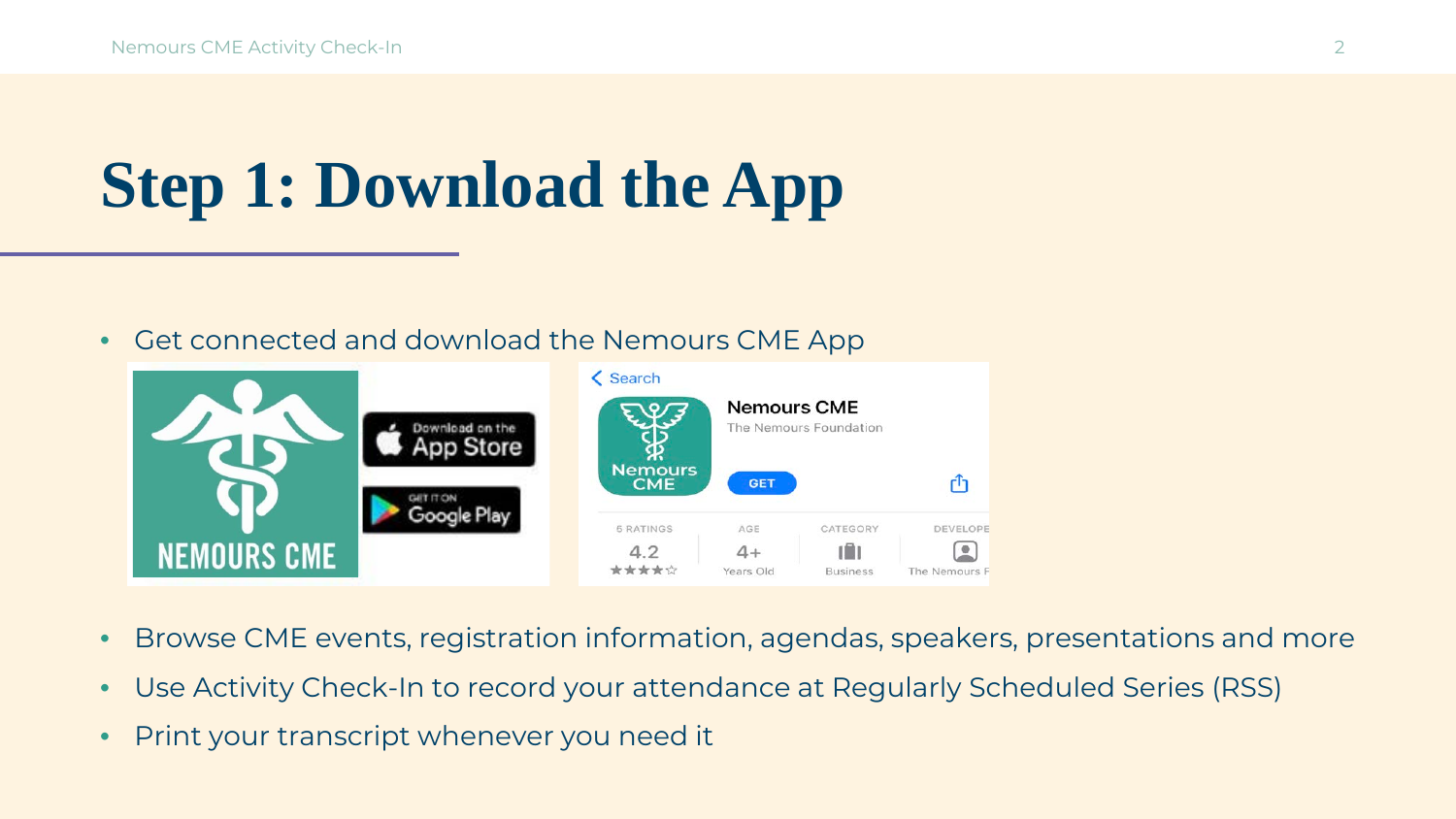# **Step 1: Download the App**

• Get connected and download the Nemours CME App



- Browse CME events, registration information, agendas, speakers, presentations and more
- Use Activity Check-In to record your attendance at Regularly Scheduled Series (RSS)
- Print your transcript whenever you need it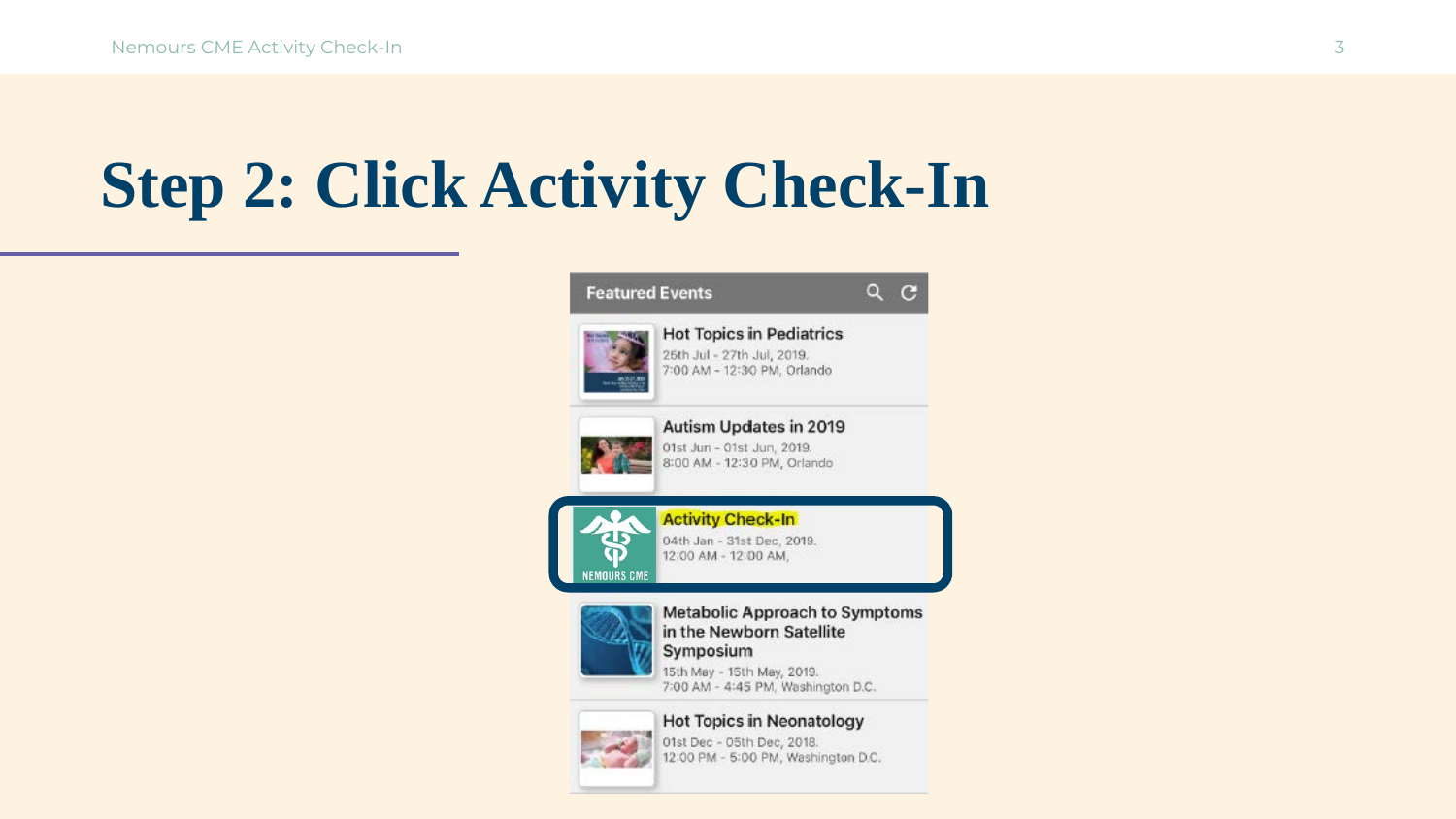# **Step 2: Click Activity Check-In**



01st Dec - 05th Dec, 2018. 12:00 PM - 5:00 PM, Washington D.C.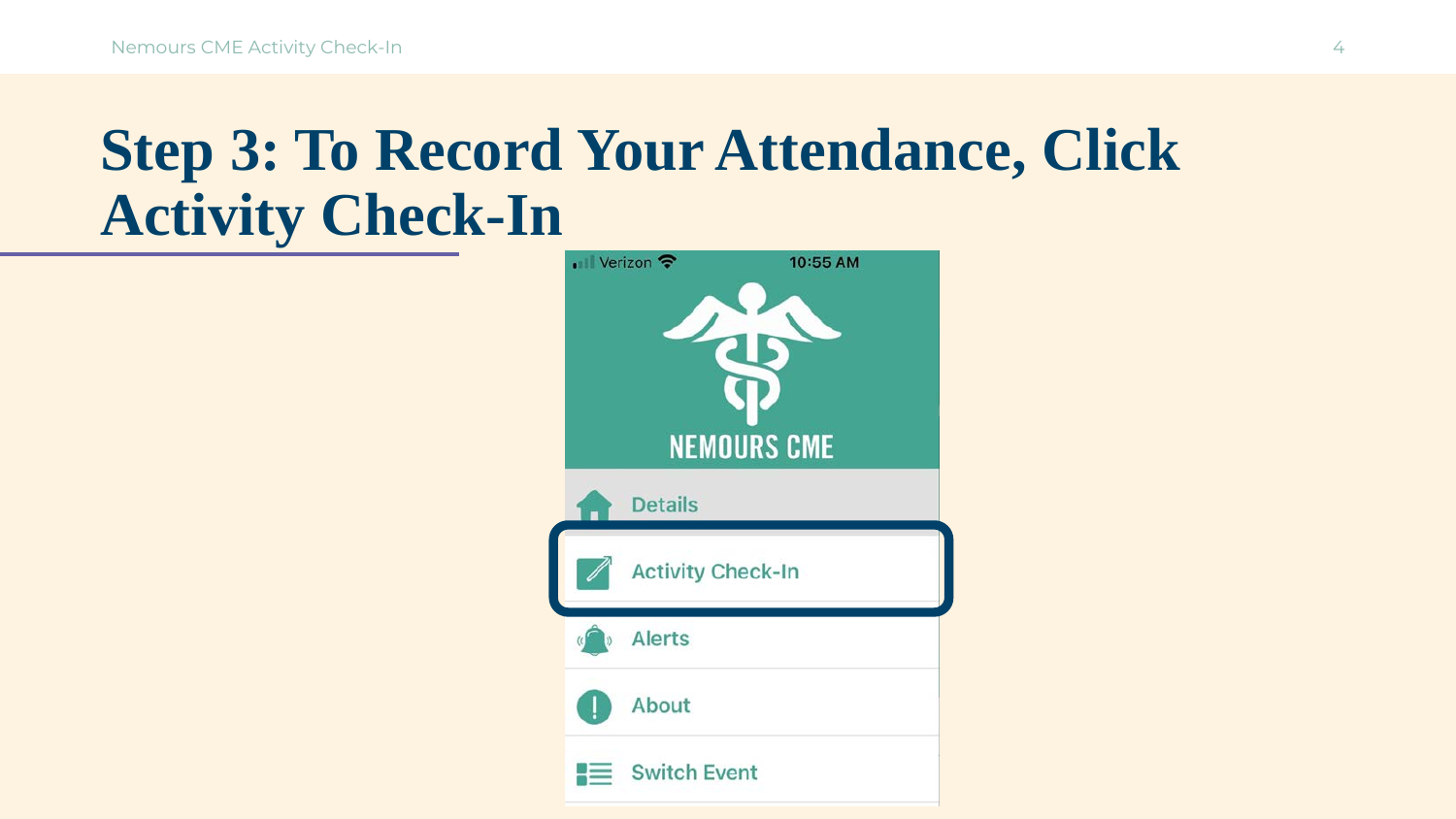#### **Step 3: To Record Your Attendance, Click Activity Check-In**

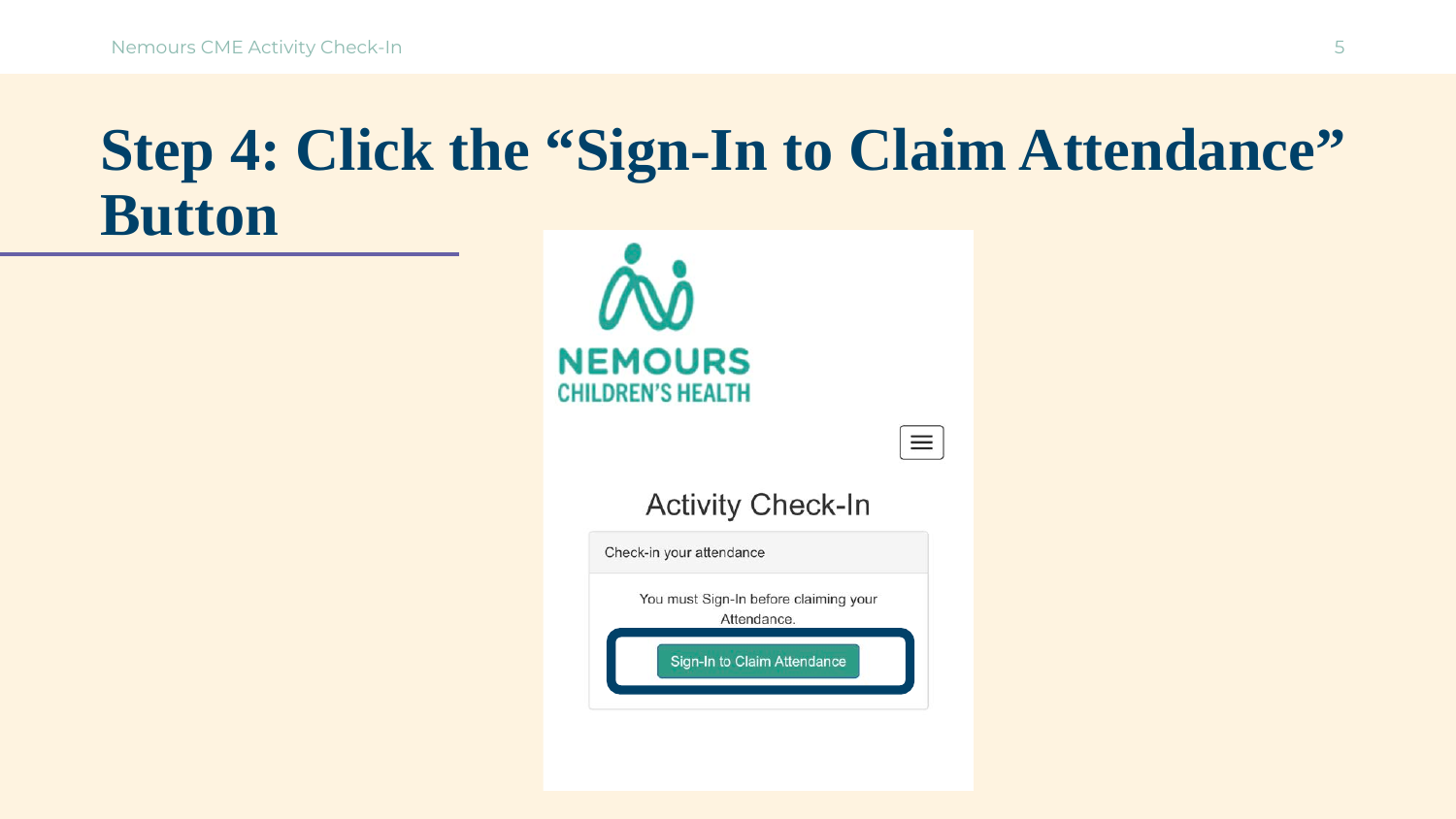#### **Step 4: Click the "Sign-In to Claim Attendance" Button**

| $\boldsymbol{\theta}$<br><b>NEMOURS</b><br>CHILDREN'S HEALTH |  |
|--------------------------------------------------------------|--|
| <b>Activity Check-In</b>                                     |  |
| Check-in your attendance                                     |  |
| You must Sign-In before claiming your<br>Attendance.         |  |
| Sign-In to Claim Attendance                                  |  |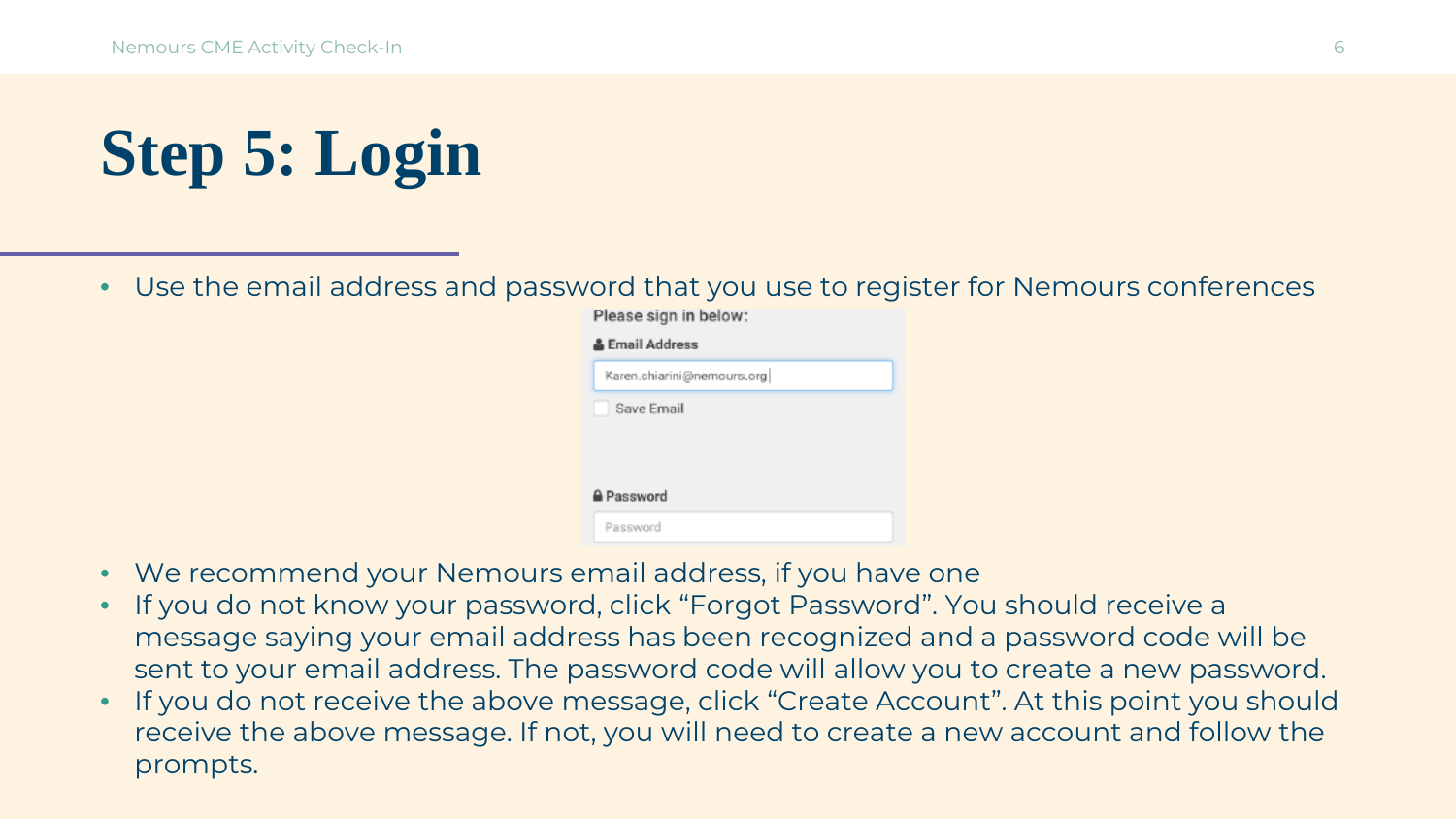# **Step 5: Login**

• Use the email address and password that you use to register for Nemours conferences

Please sign in below:

|                   | Karen.chiarini@nemours.org |  |
|-------------------|----------------------------|--|
| Save Email        |                            |  |
|                   |                            |  |
|                   |                            |  |
| <b>≙</b> Password |                            |  |

- We recommend your Nemours email address, if you have one
- If you do not know your password, click "Forgot Password". You should receive a message saying your email address has been recognized and a password code will be sent to your email address. The password code will allow you to create a new password. •
- If you do not receive the above message, click "Create Account". At this point you should receive the above message. If not, you will need to create a new account and follow the prompts. •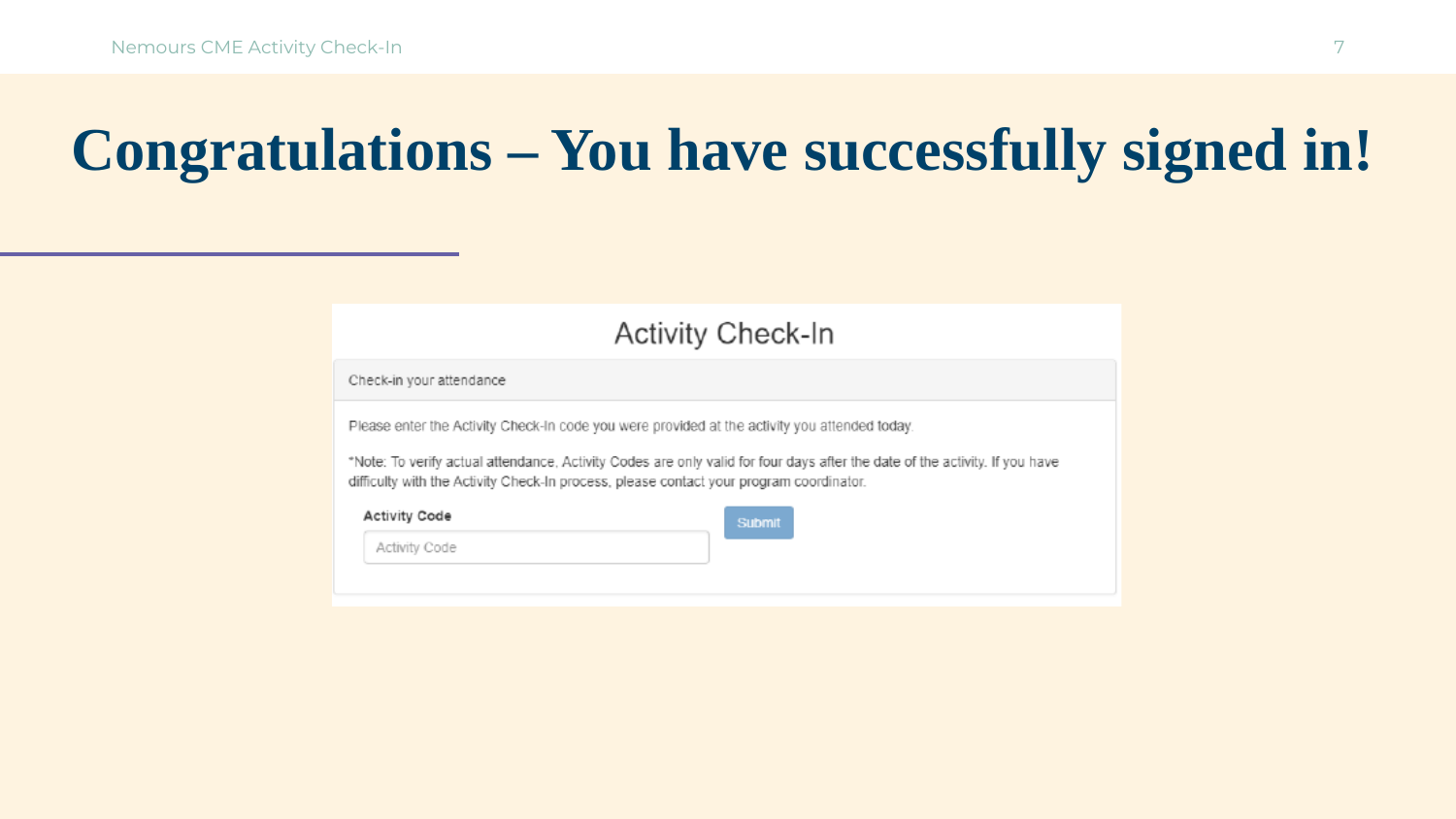## **Congratulations - You have successfully signed in!**

|                          | <b>Activity Check-In</b>                                                                                                                                                                                                                                                                                                |
|--------------------------|-------------------------------------------------------------------------------------------------------------------------------------------------------------------------------------------------------------------------------------------------------------------------------------------------------------------------|
| Check-in your attendance |                                                                                                                                                                                                                                                                                                                         |
|                          | Please enter the Activity Check-In code you were provided at the activity you attended today.<br>*Note: To verify actual attendance, Activity Codes are only valid for four days after the date of the activity. If you have<br>difficulty with the Activity Check-In process, please contact your program coordinator. |
|                          |                                                                                                                                                                                                                                                                                                                         |
| <b>Activity Code</b>     | Submit                                                                                                                                                                                                                                                                                                                  |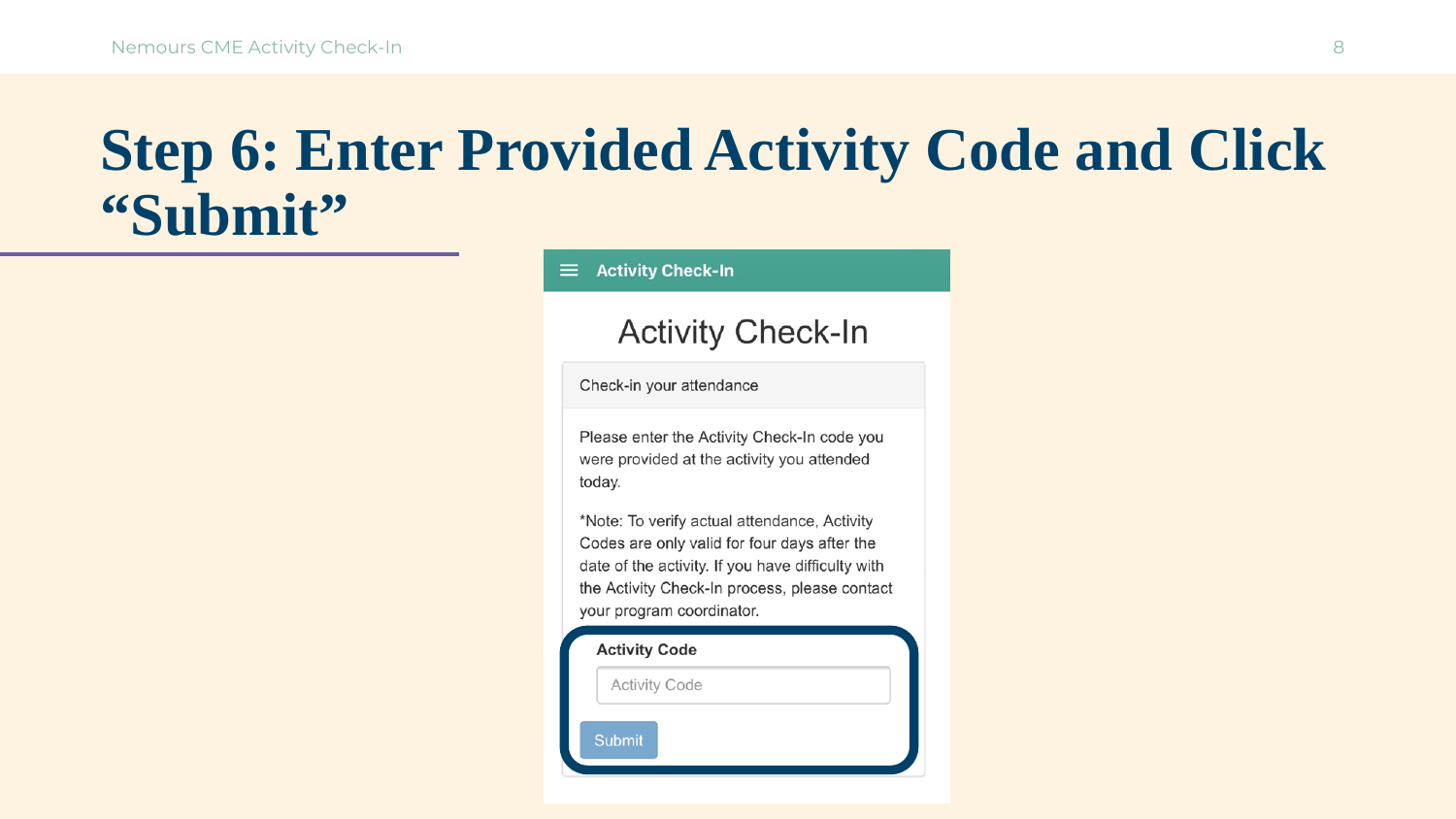#### **Step 6: Enter Provided Activity Code and Click "Submit"**

**Activity Check-In**  $\equiv$ 

#### **Activity Check-In**

Check-in your attendance

Please enter the Activity Check-In code you were provided at the activity you attended today.

\*Note: To verify actual attendance, Activity Codes are only valid for four days after the date of the activity. If you have difficulty with the Activity Check-In process, please contact your program coordinator.

| <b>Activity Code</b> |                      |
|----------------------|----------------------|
|                      | <b>Activity Code</b> |
| <b>Submit</b>        |                      |
|                      |                      |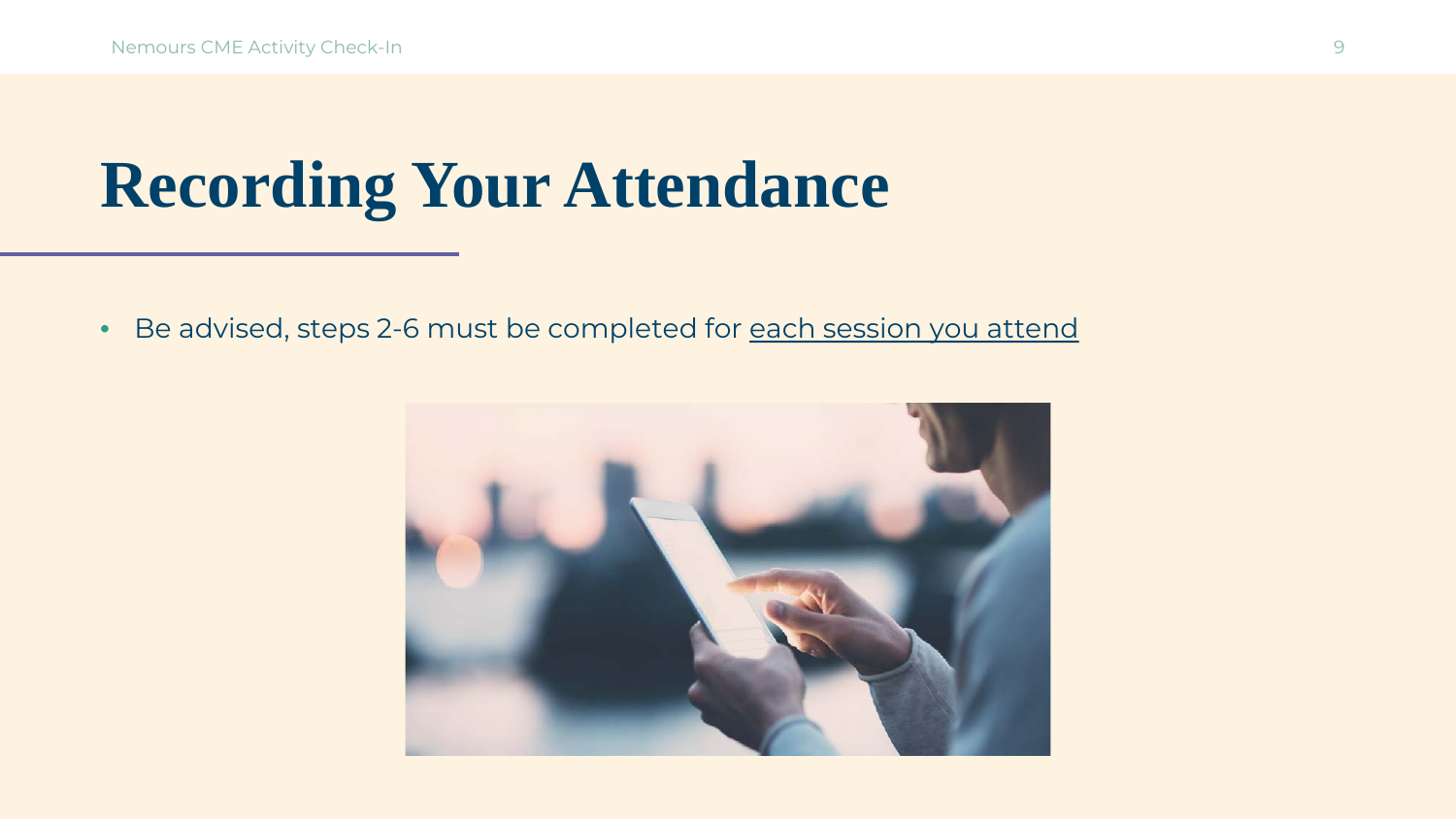## **Recording Your Attendance**

• Be advised, steps 2-6 must be completed for each session you attend

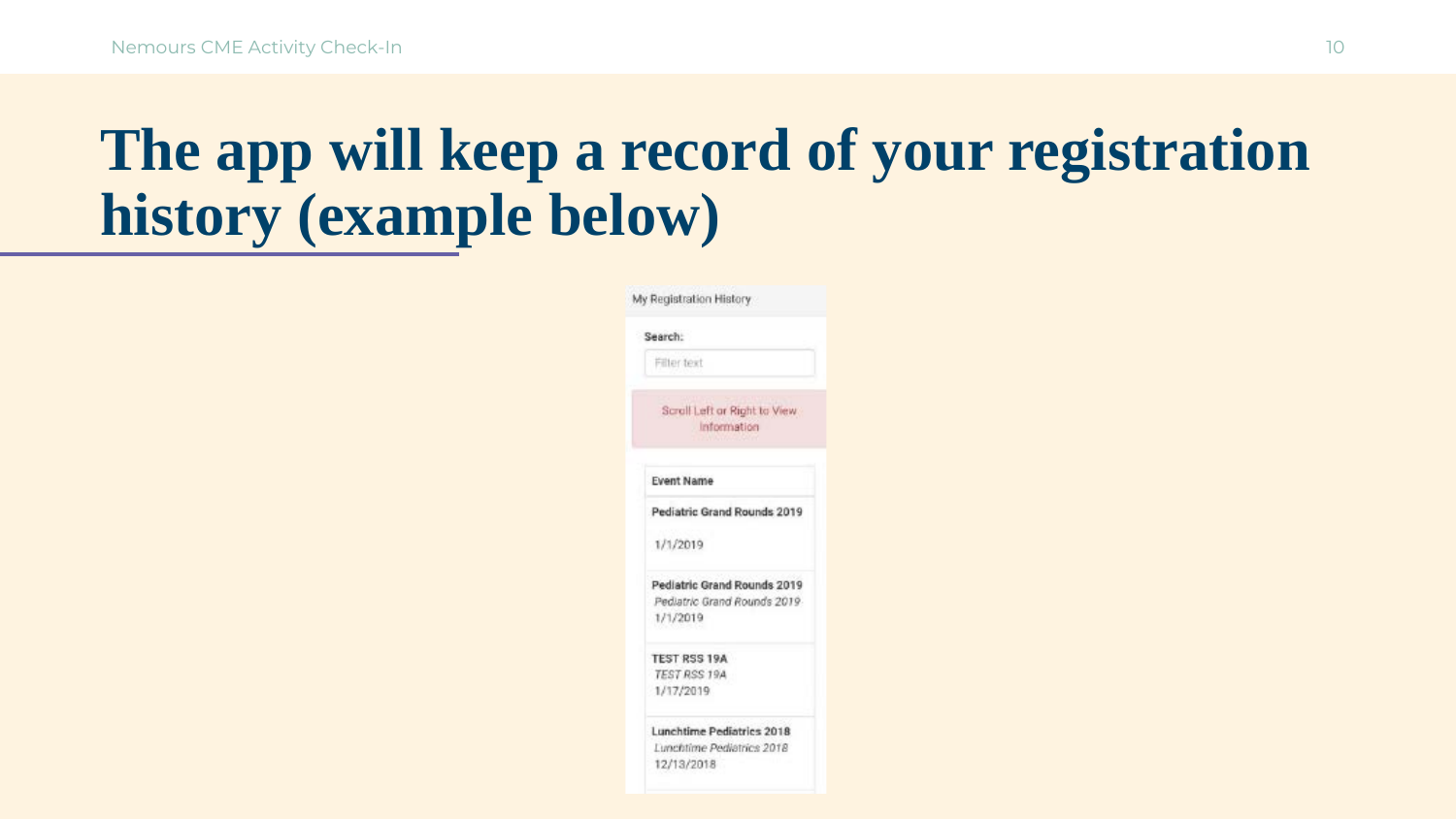#### **The app will keep a record of your registration history (example below)**

| Search:                                      |
|----------------------------------------------|
| Filter text                                  |
| Scroll Left or Right to View.<br>Information |
| <b>Event Name</b>                            |
| Pediatric Grand Rounds 2019                  |
| 1/1/2019                                     |
| Pediatric Grand Rounds 2019                  |
| Pediatric Grand Rounds 2019<br>1/1/2019      |
| TEST RSS 19A                                 |
| TEST RSS 19A<br>1/17/2019                    |
| Lunchtime Pediatrics 2018                    |
| Lunchtime Pediatrics 2018                    |